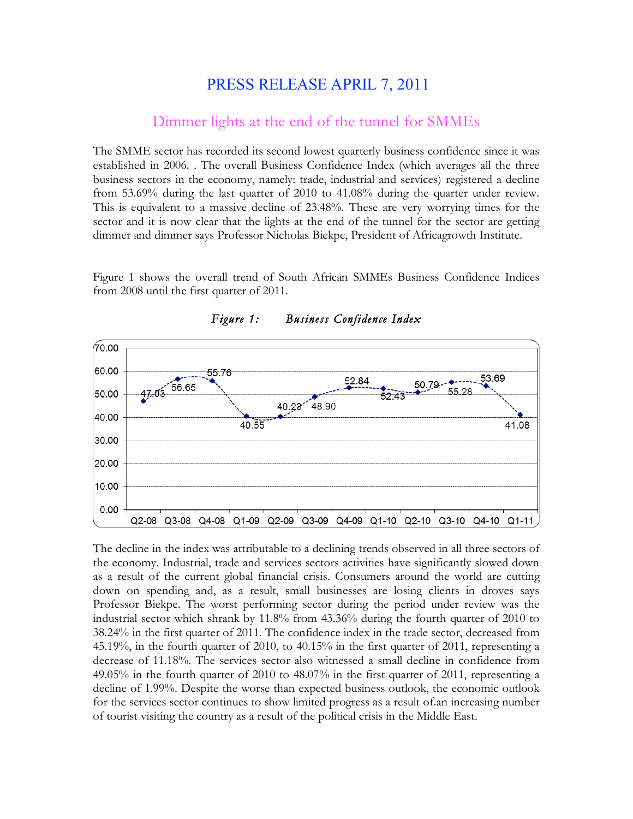## PRESS RELEASE APRIL 7, 2011

## Dimmer lights at the end of the tunnel for SMMEs

The SMME sector has recorded its second lowest quarterly business confidence since it was established in 2006. . The overall Business Confidence Index (which averages all the three business sectors in the economy, namely: trade, industrial and services) registered a decline from 53.69% during the last quarter of 2010 to 41.08% during the quarter under review. This is equivalent to a massive decline of 23.48%. These are very worrying times for the sector and it is now clear that the lights at the end of the tunnel for the sector are getting dimmer and dimmer says Professor Nicholas Biekpe, President of Africagrowth Institute.

Figure 1 shows the overall trend of South African SMMEs Business Confidence Indices from 2008 until the first quarter of 2011.



*Figure 1: Business Confidence Index* 

The decline in the index was attributable to a declining trends observed in all three sectors of the economy. Industrial, trade and services sectors activities have significantly slowed down as a result of the current global financial crisis. Consumers around the world are cutting down on spending and, as a result, small businesses are losing clients in droves says Professor Biekpe. The worst performing sector during the period under review was the industrial sector which shrank by 11.8% from 43.36% during the fourth quarter of 2010 to 38.24% in the first quarter of 2011. The confidence index in the trade sector, decreased from 45.19%, in the fourth quarter of 2010, to 40.15% in the first quarter of 2011, representing a decrease of 11.18%. The services sector also witnessed a small decline in confidence from 49.05% in the fourth quarter of 2010 to 48.07% in the first quarter of 2011, representing a decline of 1.99%. Despite the worse than expected business outlook, the economic outlook for the services sector continues to show limited progress as a result of.an increasing number of tourist visiting the country as a result of the political crisis in the Middle East.